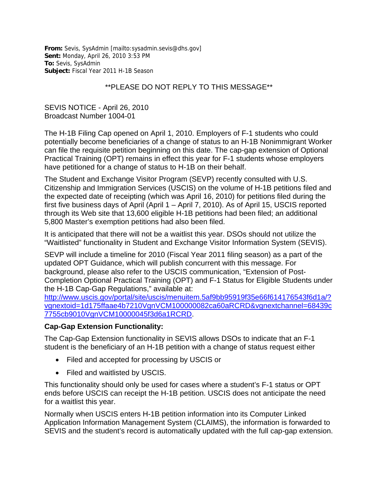**From:** Sevis, SysAdmin [mailto:sysadmin.sevis@dhs.gov] **Sent:** Monday, April 26, 2010 3:53 PM **To:** Sevis, SysAdmin **Subject:** Fiscal Year 2011 H-1B Season

## \*\*PLEASE DO NOT REPLY TO THIS MESSAGE\*\*

SEVIS NOTICE - April 26, 2010 Broadcast Number 1004-01

The H-1B Filing Cap opened on April 1, 2010. Employers of F-1 students who could potentially become beneficiaries of a change of status to an H-1B Nonimmigrant Worker can file the requisite petition beginning on this date. The cap-gap extension of Optional Practical Training (OPT) remains in effect this year for F-1 students whose employers have petitioned for a change of status to H-1B on their behalf.

The Student and Exchange Visitor Program (SEVP) recently consulted with U.S. Citizenship and Immigration Services (USCIS) on the volume of H-1B petitions filed and the expected date of receipting (which was April 16, 2010) for petitions filed during the first five business days of April (April 1 – April 7, 2010). As of April 15, USCIS reported through its Web site that 13,600 eligible H-1B petitions had been filed; an additional 5,800 Master's exemption petitions had also been filed.

It is anticipated that there will not be a waitlist this year. DSOs should not utilize the "Waitlisted" functionality in Student and Exchange Visitor Information System (SEVIS).

SEVP will include a timeline for 2010 (Fiscal Year 2011 filing season) as a part of the updated OPT Guidance, which will publish concurrent with this message. For background, please also refer to the USCIS communication, "Extension of Post-Completion Optional Practical Training (OPT) and F-1 Status for Eligible Students under the H-1B Cap-Gap Regulations," available at:

[http://www.uscis.gov/portal/site/uscis/menuitem.5af9bb95919f35e66f614176543f6d1a/?](http://www.uscis.gov/portal/site/uscis/menuitem.5af9bb95919f35e66f614176543f6d1a/?vgnextoid=1d175ffaae4b7210VgnVCM100000082ca60aRCRD&vgnextchannel=68439c7755cb9010VgnVCM10000045f3d6a1RCRD) [vgnextoid=1d175ffaae4b7210VgnVCM100000082ca60aRCRD&vgnextchannel=68439c](http://www.uscis.gov/portal/site/uscis/menuitem.5af9bb95919f35e66f614176543f6d1a/?vgnextoid=1d175ffaae4b7210VgnVCM100000082ca60aRCRD&vgnextchannel=68439c7755cb9010VgnVCM10000045f3d6a1RCRD) [7755cb9010VgnVCM10000045f3d6a1RCRD.](http://www.uscis.gov/portal/site/uscis/menuitem.5af9bb95919f35e66f614176543f6d1a/?vgnextoid=1d175ffaae4b7210VgnVCM100000082ca60aRCRD&vgnextchannel=68439c7755cb9010VgnVCM10000045f3d6a1RCRD)

## **Cap-Gap Extension Functionality:**

The Cap-Gap Extension functionality in SEVIS allows DSOs to indicate that an F-1 student is the beneficiary of an H-1B petition with a change of status request either

- Filed and accepted for processing by USCIS or
- Filed and waitlisted by USCIS.

This functionality should only be used for cases where a student's F-1 status or OPT ends before USCIS can receipt the H-1B petition. USCIS does not anticipate the need for a waitlist this year.

Normally when USCIS enters H-1B petition information into its Computer Linked Application Information Management System (CLAIMS), the information is forwarded to SEVIS and the student's record is automatically updated with the full cap-gap extension.